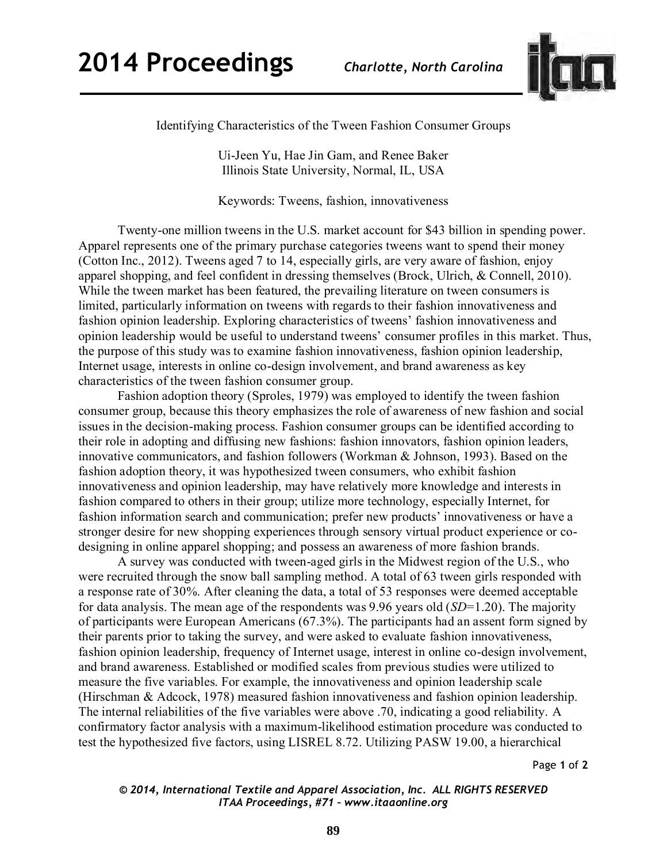

Identifying Characteristics of the Tween Fashion Consumer Groups

Ui-Jeen Yu, Hae Jin Gam, and Renee Baker Illinois State University, Normal, IL, USA

Keywords: Tweens, fashion, innovativeness

 Twenty-one million tweens in the U.S. market account for \$43 billion in spending power. Apparel represents one of the primary purchase categories tweens want to spend their money (Cotton Inc., 2012). Tweens aged 7 to 14, especially girls, are very aware of fashion, enjoy apparel shopping, and feel confident in dressing themselves (Brock, Ulrich, & Connell, 2010). While the tween market has been featured, the prevailing literature on tween consumers is limited, particularly information on tweens with regards to their fashion innovativeness and fashion opinion leadership. Exploring characteristics of tweens' fashion innovativeness and opinion leadership would be useful to understand tweens' consumer profiles in this market. Thus, the purpose of this study was to examine fashion innovativeness, fashion opinion leadership, Internet usage, interests in online co-design involvement, and brand awareness as key characteristics of the tween fashion consumer group.

 Fashion adoption theory (Sproles, 1979) was employed to identify the tween fashion consumer group, because this theory emphasizes the role of awareness of new fashion and social issues in the decision-making process. Fashion consumer groups can be identified according to their role in adopting and diffusing new fashions: fashion innovators, fashion opinion leaders, innovative communicators, and fashion followers (Workman & Johnson, 1993). Based on the fashion adoption theory, it was hypothesized tween consumers, who exhibit fashion innovativeness and opinion leadership, may have relatively more knowledge and interests in fashion compared to others in their group; utilize more technology, especially Internet, for fashion information search and communication; prefer new products' innovativeness or have a stronger desire for new shopping experiences through sensory virtual product experience or codesigning in online apparel shopping; and possess an awareness of more fashion brands.

A survey was conducted with tween-aged girls in the Midwest region of the U.S., who were recruited through the snow ball sampling method. A total of 63 tween girls responded with a response rate of 30%. After cleaning the data, a total of 53 responses were deemed acceptable for data analysis. The mean age of the respondents was 9.96 years old (*SD*=1.20). The majority of participants were European Americans (67.3%). The participants had an assent form signed by their parents prior to taking the survey, and were asked to evaluate fashion innovativeness, fashion opinion leadership, frequency of Internet usage, interest in online co-design involvement, and brand awareness. Established or modified scales from previous studies were utilized to measure the five variables. For example, the innovativeness and opinion leadership scale (Hirschman & Adcock, 1978) measured fashion innovativeness and fashion opinion leadership. The internal reliabilities of the five variables were above .70, indicating a good reliability. A confirmatory factor analysis with a maximum-likelihood estimation procedure was conducted to test the hypothesized five factors, using LISREL 8.72. Utilizing PASW 19.00, a hierarchical

Page **1** of **2** 

*© 2014, International Textile and Apparel Association, Inc. ALL RIGHTS RESERVED ITAA Proceedings, #71 – www.itaaonline.org*